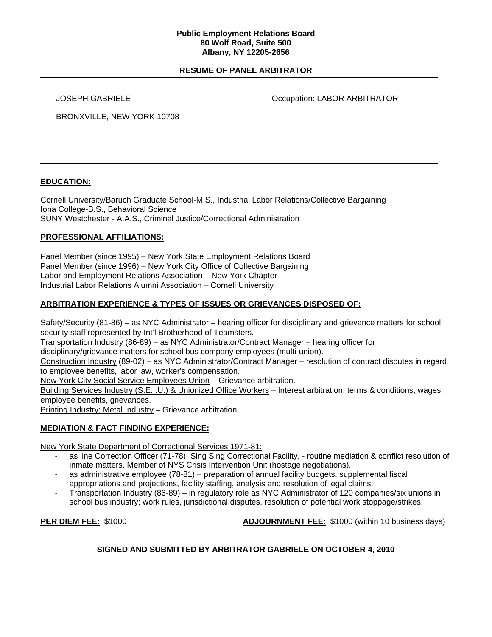## **Public Employment Relations Board 80 Wolf Road, Suite 500 Albany, NY 12205-2656**

# **RESUME OF PANEL ARBITRATOR**

JOSEPH GABRIELE **COMPUTE CONSTRUCTS** Occupation: LABOR ARBITRATOR

BRONXVILLE, NEW YORK 10708

## **EDUCATION:**

Cornell University/Baruch Graduate School-M.S., Industrial Labor Relations/Collective Bargaining Iona College-B.S., Behavioral Science SUNY Westchester - A.A.S., Criminal Justice/Correctional Administration

## **PROFESSIONAL AFFILIATIONS:**

Panel Member (since 1995) – New York State Employment Relations Board Panel Member (since 1996) – New York City Office of Collective Bargaining Labor and Employment Relations Association – New York Chapter Industrial Labor Relations Alumni Association – Cornell University

# **ARBITRATION EXPERIENCE & TYPES OF ISSUES OR GRIEVANCES DISPOSED OF:**

Safety/Security (81-86) – as NYC Administrator – hearing officer for disciplinary and grievance matters for school security staff represented by Int'l Brotherhood of Teamsters.

Transportation Industry (86-89) – as NYC Administrator/Contract Manager – hearing officer for

disciplinary/grievance matters for school bus company employees (multi-union).

Construction Industry (89-02) – as NYC Administrator/Contract Manager – resolution of contract disputes in regard to employee benefits, labor law, worker's compensation.

New York City Social Service Employees Union – Grievance arbitration.

Building Services Industry (S.E.I.U.) & Unionized Office Workers – Interest arbitration, terms & conditions, wages, employee benefits, grievances.

Printing Industry; Metal Industry – Grievance arbitration.

# **MEDIATION & FACT FINDING EXPERIENCE:**

New York State Department of Correctional Services 1971-81:

- as line Correction Officer (71-78), Sing Sing Correctional Facility, routine mediation & conflict resolution of inmate matters. Member of NYS Crisis Intervention Unit (hostage negotiations).
- as administrative employee (78-81) preparation of annual facility budgets, supplemental fiscal appropriations and projections, facility staffing, analysis and resolution of legal claims.
- Transportation Industry (86-89) in regulatory role as NYC Administrator of 120 companies/six unions in school bus industry; work rules, jurisdictional disputes, resolution of potential work stoppage/strikes.

**PER DIEM FEE:** \$1000 **ADJOURNMENT FEE:** \$1000 (within 10 business days)

**SIGNED AND SUBMITTED BY ARBITRATOR GABRIELE ON OCTOBER 4, 2010**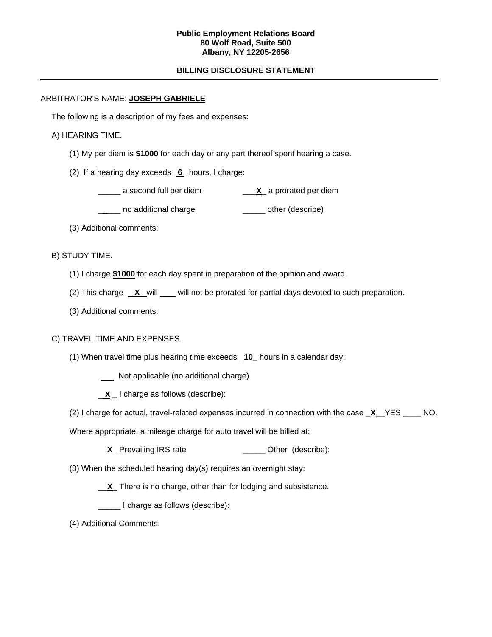## **Public Employment Relations Board 80 Wolf Road, Suite 500 Albany, NY 12205-2656**

# **BILLING DISCLOSURE STATEMENT**

## ARBITRATOR'S NAME: **JOSEPH GABRIELE**

The following is a description of my fees and expenses:

## A) HEARING TIME.

- (1) My per diem is **\$1000** for each day or any part thereof spent hearing a case.
- (2) If a hearing day exceeds **6** hours, I charge:
	- \_\_\_\_\_ a second full per diem \_\_\_**X**\_ a prorated per diem
	- \_\_\_\_ no additional charge \_\_\_\_\_\_\_ other (describe)
- (3) Additional comments:

## B) STUDY TIME.

- (1) I charge **\$1000** for each day spent in preparation of the opinion and award.
- (2) This charge **X** will will not be prorated for partial days devoted to such preparation.
- (3) Additional comments:

# C) TRAVEL TIME AND EXPENSES.

- (1) When travel time plus hearing time exceeds \_**10\_** hours in a calendar day:
	- Not applicable (no additional charge)
	- **X** L charge as follows (describe):
- (2) I charge for actual, travel-related expenses incurred in connection with the case \_**X**\_\_YES \_\_\_\_ NO.
- Where appropriate, a mileage charge for auto travel will be billed at:
	- **X** Prevailing IRS rate **With COVE COVER 1998** Other (describe):
- (3) When the scheduled hearing day(s) requires an overnight stay:
	- **X** There is no charge, other than for lodging and subsistence.
	- I charge as follows (describe):
- (4) Additional Comments: